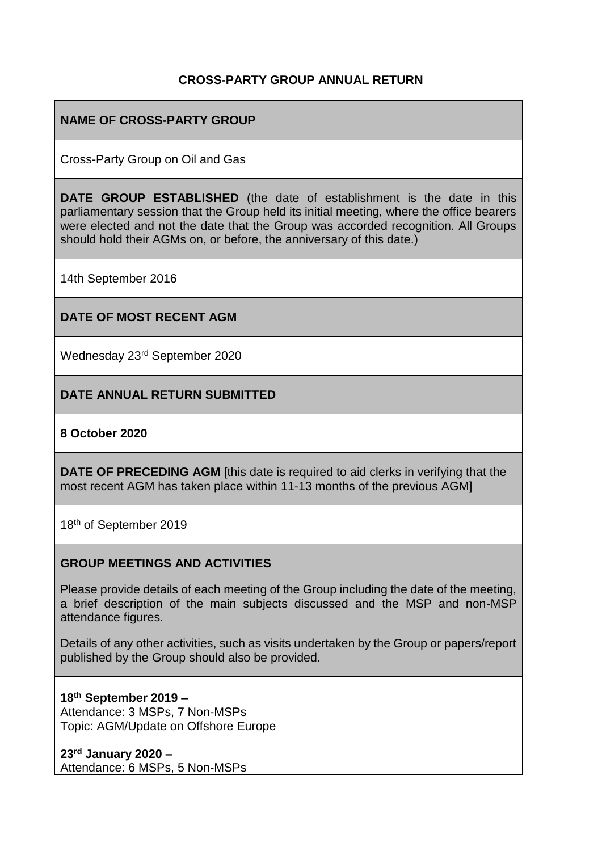## **CROSS-PARTY GROUP ANNUAL RETURN**

## **NAME OF CROSS-PARTY GROUP**

Cross-Party Group on Oil and Gas

**DATE GROUP ESTABLISHED** (the date of establishment is the date in this parliamentary session that the Group held its initial meeting, where the office bearers were elected and not the date that the Group was accorded recognition. All Groups should hold their AGMs on, or before, the anniversary of this date.)

14th September 2016

#### **DATE OF MOST RECENT AGM**

Wednesday 23rd September 2020

#### **DATE ANNUAL RETURN SUBMITTED**

#### **8 October 2020**

**DATE OF PRECEDING AGM** [this date is required to aid clerks in verifying that the most recent AGM has taken place within 11-13 months of the previous AGM]

18th of September 2019

#### **GROUP MEETINGS AND ACTIVITIES**

Please provide details of each meeting of the Group including the date of the meeting, a brief description of the main subjects discussed and the MSP and non-MSP attendance figures.

Details of any other activities, such as visits undertaken by the Group or papers/report published by the Group should also be provided.

**18th September 2019 –** Attendance: 3 MSPs, 7 Non-MSPs Topic: AGM/Update on Offshore Europe

**23rd January 2020 –** Attendance: 6 MSPs, 5 Non-MSPs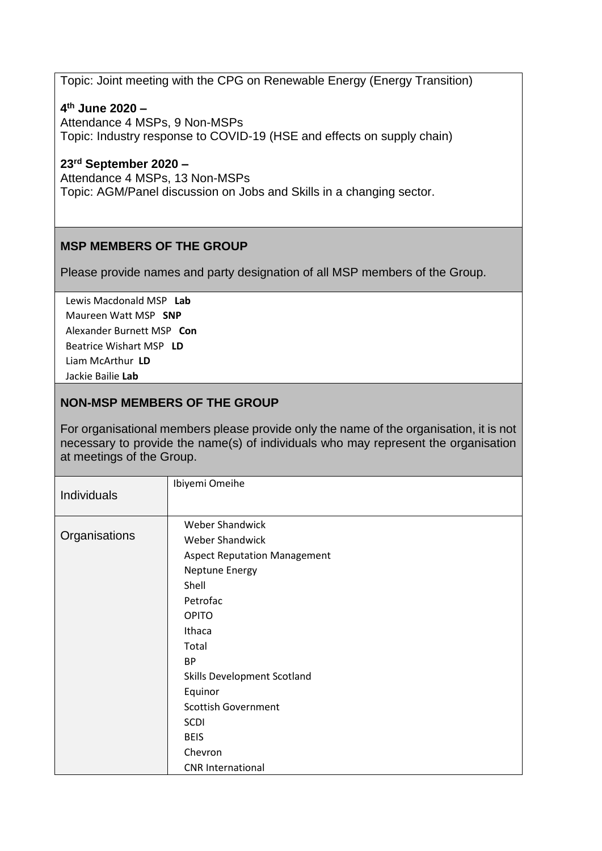Topic: Joint meeting with the CPG on Renewable Energy (Energy Transition)

#### **4 th June 2020 –**

Attendance 4 MSPs, 9 Non-MSPs Topic: Industry response to COVID-19 (HSE and effects on supply chain)

#### **23rd September 2020 –**

Attendance 4 MSPs, 13 Non-MSPs Topic: AGM/Panel discussion on Jobs and Skills in a changing sector.

## **MSP MEMBERS OF THE GROUP**

Please provide names and party designation of all MSP members of the Group.

Lewis Macdonald MSP **Lab** Maureen Watt MSP **SNP** Alexander Burnett MSP **Con** Beatrice Wishart MSP **LD** Liam McArthur **LD** Jackie Bailie **Lab**

## **NON-MSP MEMBERS OF THE GROUP**

For organisational members please provide only the name of the organisation, it is not necessary to provide the name(s) of individuals who may represent the organisation at meetings of the Group.

| <b>Individuals</b> | Ibiyemi Omeihe                                        |
|--------------------|-------------------------------------------------------|
| Organisations      | Weber Shandwick<br><b>Weber Shandwick</b>             |
|                    | <b>Aspect Reputation Management</b><br>Neptune Energy |
|                    | Shell                                                 |
|                    | Petrofac                                              |
|                    | <b>OPITO</b>                                          |
|                    | Ithaca                                                |
|                    | Total                                                 |
|                    | <b>BP</b>                                             |
|                    | <b>Skills Development Scotland</b>                    |
|                    | Equinor                                               |
|                    | <b>Scottish Government</b>                            |
|                    | <b>SCDI</b>                                           |
|                    | <b>BEIS</b>                                           |
|                    | Chevron                                               |
|                    | <b>CNR</b> International                              |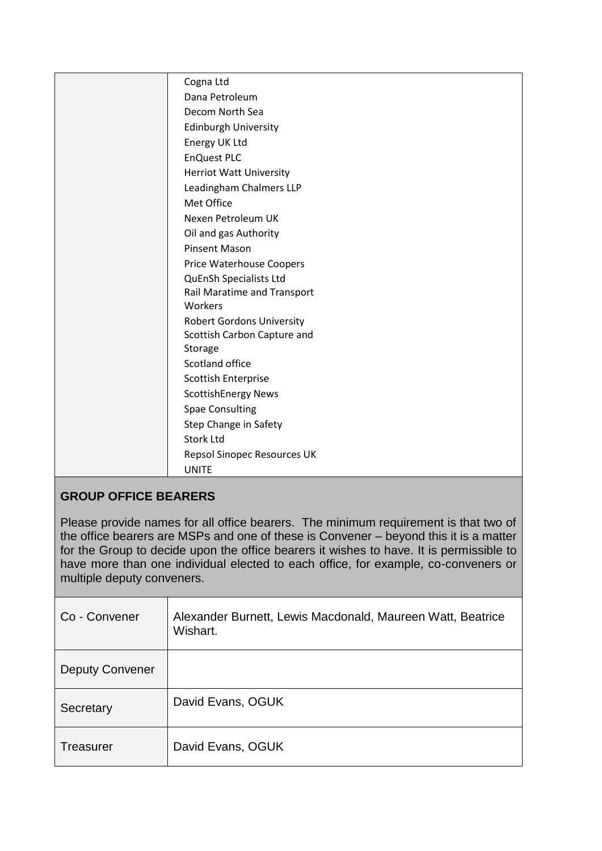| Cogna Ltd<br>Dana Petroleum<br>Decom North Sea<br><b>Edinburgh University</b><br>Energy UK Ltd<br><b>EnQuest PLC</b><br><b>Herriot Watt University</b><br>Leadingham Chalmers LLP<br>Met Office<br>Nexen Petroleum UK<br>Oil and gas Authority<br><b>Pinsent Mason</b><br>Price Waterhouse Coopers<br>QuEnSh Specialists Ltd<br>Rail Maratime and Transport<br>Workers<br><b>Robert Gordons University</b><br>Scottish Carbon Capture and<br>Storage<br>Scotland office<br>Scottish Enterprise<br><b>ScottishEnergy News</b><br><b>Spae Consulting</b><br>Step Change in Safety<br><b>Stork Ltd</b><br>Repsol Sinopec Resources UK<br><b>UNITE</b> |  |
|----------------------------------------------------------------------------------------------------------------------------------------------------------------------------------------------------------------------------------------------------------------------------------------------------------------------------------------------------------------------------------------------------------------------------------------------------------------------------------------------------------------------------------------------------------------------------------------------------------------------------------------------------|--|
|                                                                                                                                                                                                                                                                                                                                                                                                                                                                                                                                                                                                                                                    |  |
|                                                                                                                                                                                                                                                                                                                                                                                                                                                                                                                                                                                                                                                    |  |
|                                                                                                                                                                                                                                                                                                                                                                                                                                                                                                                                                                                                                                                    |  |
|                                                                                                                                                                                                                                                                                                                                                                                                                                                                                                                                                                                                                                                    |  |
|                                                                                                                                                                                                                                                                                                                                                                                                                                                                                                                                                                                                                                                    |  |
|                                                                                                                                                                                                                                                                                                                                                                                                                                                                                                                                                                                                                                                    |  |
|                                                                                                                                                                                                                                                                                                                                                                                                                                                                                                                                                                                                                                                    |  |
|                                                                                                                                                                                                                                                                                                                                                                                                                                                                                                                                                                                                                                                    |  |
|                                                                                                                                                                                                                                                                                                                                                                                                                                                                                                                                                                                                                                                    |  |
|                                                                                                                                                                                                                                                                                                                                                                                                                                                                                                                                                                                                                                                    |  |
|                                                                                                                                                                                                                                                                                                                                                                                                                                                                                                                                                                                                                                                    |  |
|                                                                                                                                                                                                                                                                                                                                                                                                                                                                                                                                                                                                                                                    |  |
|                                                                                                                                                                                                                                                                                                                                                                                                                                                                                                                                                                                                                                                    |  |
|                                                                                                                                                                                                                                                                                                                                                                                                                                                                                                                                                                                                                                                    |  |
|                                                                                                                                                                                                                                                                                                                                                                                                                                                                                                                                                                                                                                                    |  |
|                                                                                                                                                                                                                                                                                                                                                                                                                                                                                                                                                                                                                                                    |  |
|                                                                                                                                                                                                                                                                                                                                                                                                                                                                                                                                                                                                                                                    |  |
|                                                                                                                                                                                                                                                                                                                                                                                                                                                                                                                                                                                                                                                    |  |
|                                                                                                                                                                                                                                                                                                                                                                                                                                                                                                                                                                                                                                                    |  |
|                                                                                                                                                                                                                                                                                                                                                                                                                                                                                                                                                                                                                                                    |  |
|                                                                                                                                                                                                                                                                                                                                                                                                                                                                                                                                                                                                                                                    |  |
|                                                                                                                                                                                                                                                                                                                                                                                                                                                                                                                                                                                                                                                    |  |
|                                                                                                                                                                                                                                                                                                                                                                                                                                                                                                                                                                                                                                                    |  |
|                                                                                                                                                                                                                                                                                                                                                                                                                                                                                                                                                                                                                                                    |  |
|                                                                                                                                                                                                                                                                                                                                                                                                                                                                                                                                                                                                                                                    |  |
|                                                                                                                                                                                                                                                                                                                                                                                                                                                                                                                                                                                                                                                    |  |
|                                                                                                                                                                                                                                                                                                                                                                                                                                                                                                                                                                                                                                                    |  |

# **GROUP OFFICE BEARERS**

Please provide names for all office bearers. The minimum requirement is that two of the office bearers are MSPs and one of these is Convener – beyond this it is a matter for the Group to decide upon the office bearers it wishes to have. It is permissible to have more than one individual elected to each office, for example, co-conveners or multiple deputy conveners.

| Co - Convener          | Alexander Burnett, Lewis Macdonald, Maureen Watt, Beatrice<br>Wishart. |
|------------------------|------------------------------------------------------------------------|
| <b>Deputy Convener</b> |                                                                        |
| Secretary              | David Evans, OGUK                                                      |
| Treasurer              | David Evans, OGUK                                                      |